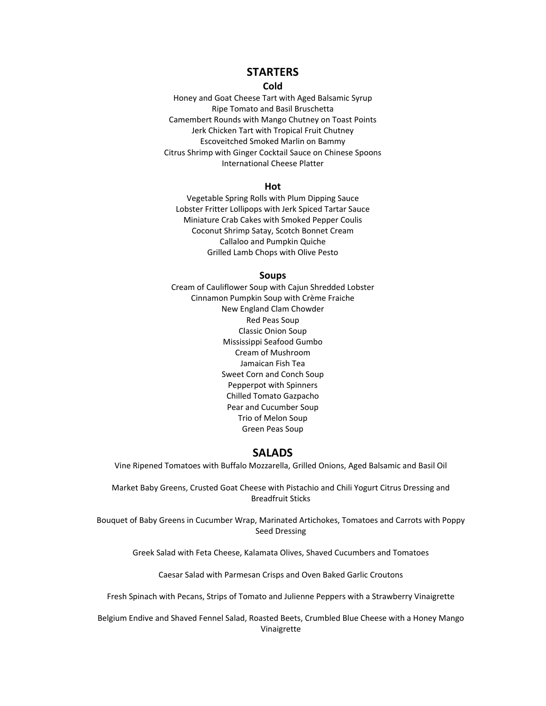# **STARTERS**

### **Cold**

Honey and Goat Cheese Tart with Aged Balsamic Syrup Ripe Tomato and Basil Bruschetta Camembert Rounds with Mango Chutney on Toast Points Jerk Chicken Tart with Tropical Fruit Chutney Escoveitched Smoked Marlin on Bammy Citrus Shrimp with Ginger Cocktail Sauce on Chinese Spoons International Cheese Platter

#### **Hot**

Vegetable Spring Rolls with Plum Dipping Sauce Lobster Fritter Lollipops with Jerk Spiced Tartar Sauce Miniature Crab Cakes with Smoked Pepper Coulis Coconut Shrimp Satay, Scotch Bonnet Cream Callaloo and Pumpkin Quiche Grilled Lamb Chops with Olive Pesto

#### **Soups**

Cream of Cauliflower Soup with Cajun Shredded Lobster Cinnamon Pumpkin Soup with Crème Fraiche New England Clam Chowder Red Peas Soup Classic Onion Soup Mississippi Seafood Gumbo Cream of Mushroom Jamaican Fish Tea Sweet Corn and Conch Soup Pepperpot with Spinners Chilled Tomato Gazpacho Pear and Cucumber Soup Trio of Melon Soup Green Peas Soup

# **SALADS**

Vine Ripened Tomatoes with Buffalo Mozzarella, Grilled Onions, Aged Balsamic and Basil Oil

Market Baby Greens, Crusted Goat Cheese with Pistachio and Chili Yogurt Citrus Dressing and Breadfruit Sticks

Bouquet of Baby Greens in Cucumber Wrap, Marinated Artichokes, Tomatoes and Carrots with Poppy Seed Dressing

Greek Salad with Feta Cheese, Kalamata Olives, Shaved Cucumbers and Tomatoes

Caesar Salad with Parmesan Crisps and Oven Baked Garlic Croutons

Fresh Spinach with Pecans, Strips of Tomato and Julienne Peppers with a Strawberry Vinaigrette

Belgium Endive and Shaved Fennel Salad, Roasted Beets, Crumbled Blue Cheese with a Honey Mango Vinaigrette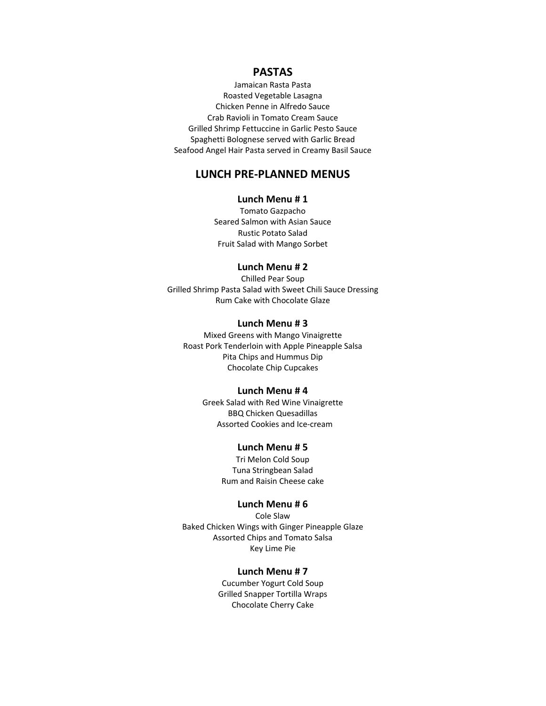# **PASTAS**

Jamaican Rasta Pasta Roasted Vegetable Lasagna Chicken Penne in Alfredo Sauce Crab Ravioli in Tomato Cream Sauce Grilled Shrimp Fettuccine in Garlic Pesto Sauce Spaghetti Bolognese served with Garlic Bread Seafood Angel Hair Pasta served in Creamy Basil Sauce

# **LUNCH PRE‐PLANNED MENUS**

# **Lunch Menu # 1**

Tomato Gazpacho Seared Salmon with Asian Sauce Rustic Potato Salad Fruit Salad with Mango Sorbet

# **Lunch Menu # 2**

Chilled Pear Soup Grilled Shrimp Pasta Salad with Sweet Chili Sauce Dressing Rum Cake with Chocolate Glaze

# **Lunch Menu # 3**

Mixed Greens with Mango Vinaigrette Roast Pork Tenderloin with Apple Pineapple Salsa Pita Chips and Hummus Dip Chocolate Chip Cupcakes

### **Lunch Menu # 4**

Greek Salad with Red Wine Vinaigrette BBQ Chicken Quesadillas Assorted Cookies and Ice‐cream

# **Lunch Menu # 5**

Tri Melon Cold Soup Tuna Stringbean Salad Rum and Raisin Cheese cake

### **Lunch Menu # 6**

Cole Slaw Baked Chicken Wings with Ginger Pineapple Glaze Assorted Chips and Tomato Salsa Key Lime Pie

### **Lunch Menu # 7**

Cucumber Yogurt Cold Soup Grilled Snapper Tortilla Wraps Chocolate Cherry Cake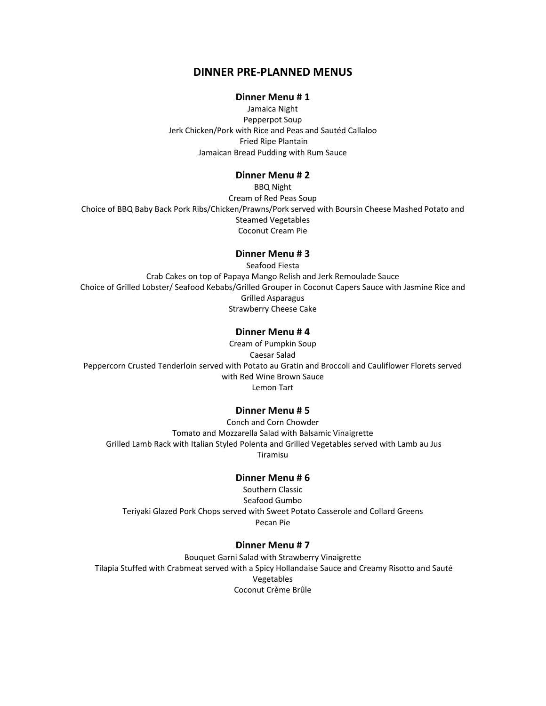# **DINNER PRE‐PLANNED MENUS**

### **Dinner Menu # 1**

Jamaica Night Pepperpot Soup Jerk Chicken/Pork with Rice and Peas and Sautéd Callaloo Fried Ripe Plantain Jamaican Bread Pudding with Rum Sauce

# **Dinner Menu # 2**

BBQ Night Cream of Red Peas Soup Choice of BBQ Baby Back Pork Ribs/Chicken/Prawns/Pork served with Boursin Cheese Mashed Potato and Steamed Vegetables Coconut Cream Pie

### **Dinner Menu # 3**

Seafood Fiesta Crab Cakes on top of Papaya Mango Relish and Jerk Remoulade Sauce Choice of Grilled Lobster/ Seafood Kebabs/Grilled Grouper in Coconut Capers Sauce with Jasmine Rice and Grilled Asparagus Strawberry Cheese Cake

## **Dinner Menu # 4**

Cream of Pumpkin Soup Caesar Salad Peppercorn Crusted Tenderloin served with Potato au Gratin and Broccoli and Cauliflower Florets served with Red Wine Brown Sauce Lemon Tart

# **Dinner Menu # 5**

Conch and Corn Chowder Tomato and Mozzarella Salad with Balsamic Vinaigrette Grilled Lamb Rack with Italian Styled Polenta and Grilled Vegetables served with Lamb au Jus Tiramisu

#### **Dinner Menu # 6**

Southern Classic Seafood Gumbo Teriyaki Glazed Pork Chops served with Sweet Potato Casserole and Collard Greens Pecan Pie

### **Dinner Menu # 7**

Bouquet Garni Salad with Strawberry Vinaigrette Tilapia Stuffed with Crabmeat served with a Spicy Hollandaise Sauce and Creamy Risotto and Sauté Vegetables Coconut Crème Brûle